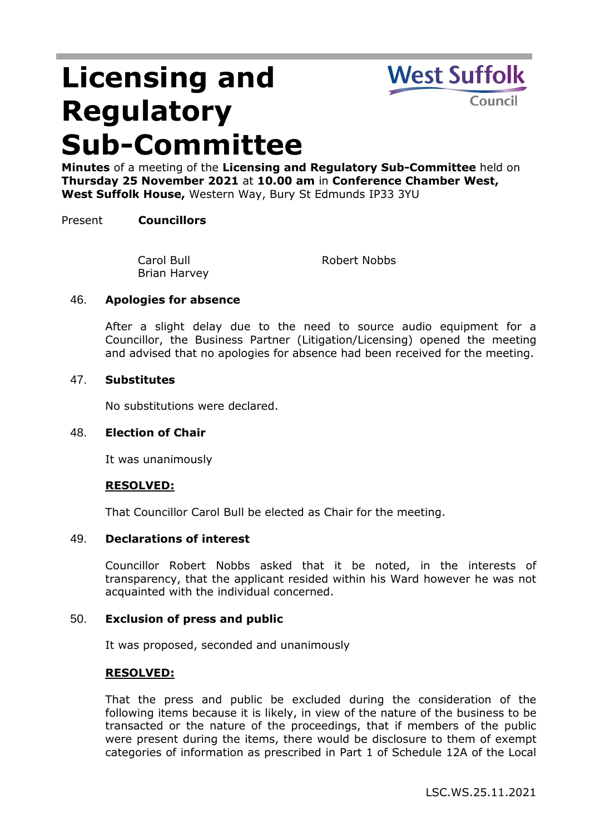# **Licensing and Regulatory Sub-Committee**



**Minutes** of a meeting of the **Licensing and Regulatory Sub-Committee** held on **Thursday 25 November 2021** at **10.00 am** in **Conference Chamber West, West Suffolk House,** Western Way, Bury St Edmunds IP33 3YU

# Present **Councillors**

Carol Bull Brian Harvey Robert Nobbs

## 46. **Apologies for absence**

After a slight delay due to the need to source audio equipment for a Councillor, the Business Partner (Litigation/Licensing) opened the meeting and advised that no apologies for absence had been received for the meeting.

## 47. **Substitutes**

No substitutions were declared.

## 48. **Election of Chair**

It was unanimously

## **RESOLVED:**

That Councillor Carol Bull be elected as Chair for the meeting.

# 49. **Declarations of interest**

Councillor Robert Nobbs asked that it be noted, in the interests of transparency, that the applicant resided within his Ward however he was not acquainted with the individual concerned.

## 50. **Exclusion of press and public**

It was proposed, seconded and unanimously

## **RESOLVED:**

That the press and public be excluded during the consideration of the following items because it is likely, in view of the nature of the business to be transacted or the nature of the proceedings, that if members of the public were present during the items, there would be disclosure to them of exempt categories of information as prescribed in Part 1 of Schedule 12A of the Local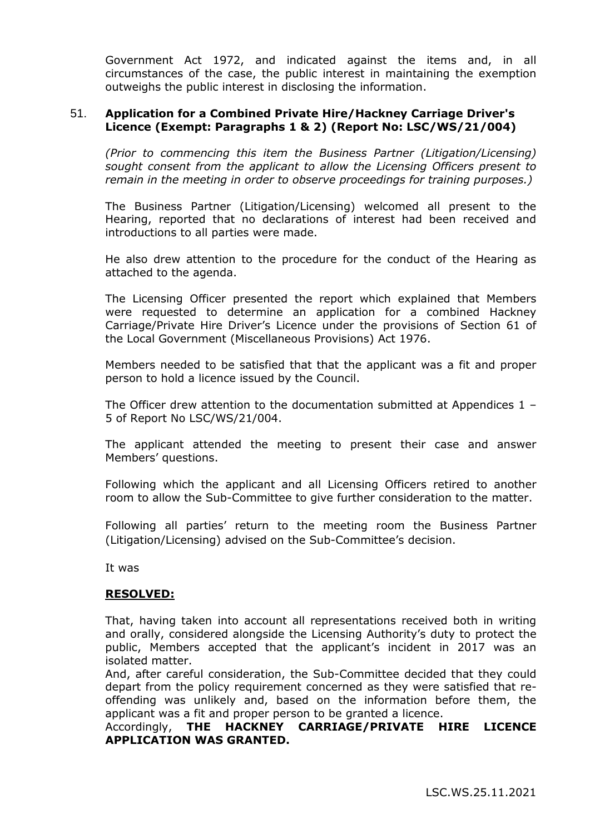Government Act 1972, and indicated against the items and, in all circumstances of the case, the public interest in maintaining the exemption outweighs the public interest in disclosing the information.

# 51. **Application for a Combined Private Hire/Hackney Carriage Driver's Licence (Exempt: Paragraphs 1 & 2) (Report No: LSC/WS/21/004)**

*(Prior to commencing this item the Business Partner (Litigation/Licensing) sought consent from the applicant to allow the Licensing Officers present to remain in the meeting in order to observe proceedings for training purposes.)*

The Business Partner (Litigation/Licensing) welcomed all present to the Hearing, reported that no declarations of interest had been received and introductions to all parties were made.

He also drew attention to the procedure for the conduct of the Hearing as attached to the agenda.

The Licensing Officer presented the report which explained that Members were requested to determine an application for a combined Hackney Carriage/Private Hire Driver's Licence under the provisions of Section 61 of the Local Government (Miscellaneous Provisions) Act 1976.

Members needed to be satisfied that that the applicant was a fit and proper person to hold a licence issued by the Council.

The Officer drew attention to the documentation submitted at Appendices  $1 -$ 5 of Report No LSC/WS/21/004.

The applicant attended the meeting to present their case and answer Members' questions.

Following which the applicant and all Licensing Officers retired to another room to allow the Sub-Committee to give further consideration to the matter.

Following all parties' return to the meeting room the Business Partner (Litigation/Licensing) advised on the Sub-Committee's decision.

It was

## **RESOLVED:**

That, having taken into account all representations received both in writing and orally, considered alongside the Licensing Authority's duty to protect the public, Members accepted that the applicant's incident in 2017 was an isolated matter.

And, after careful consideration, the Sub-Committee decided that they could depart from the policy requirement concerned as they were satisfied that reoffending was unlikely and, based on the information before them, the applicant was a fit and proper person to be granted a licence.

## Accordingly, **THE HACKNEY CARRIAGE/PRIVATE HIRE LICENCE APPLICATION WAS GRANTED.**